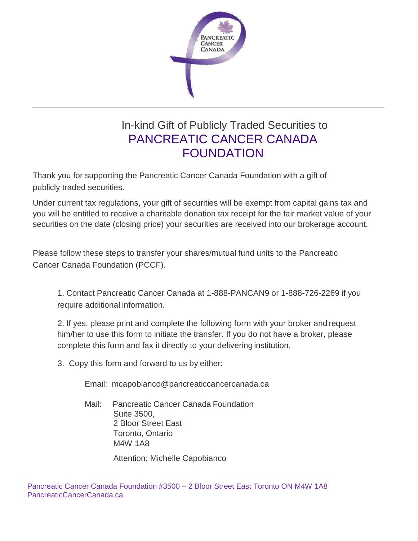

## In-kind Gift of Publicly Traded Securities to PANCREATIC CANCER CANADA FOUNDATION

Thank you for supporting the Pancreatic Cancer Canada Foundation with a gift of publicly traded securities.

Under current tax regulations, your gift of securities will be exempt from capital gains tax and you will be entitled to receive a charitable donation tax receipt for the fair market value of your securities on the date (closing price) your securities are received into our brokerage account.

Please follow these steps to transfer your shares/mutual fund units to the Pancreatic Cancer Canada Foundation (PCCF).

1. Contact Pancreatic Cancer Canada at 1-888-PANCAN9 or 1-888-726-2269 if you require additional information.

2. If yes, please print and complete the following form with your broker and request him/her to use this form to initiate the transfer. If you do not have a broker, please complete this form and fax it directly to your delivering institution.

3. Copy this form and forward to us by either:

Email: [mcapobianco@pancreaticcancercanada.ca](mailto:mcapobianco@pancreaticcancercanada.ca)

Mail: Pancreatic Cancer Canada Foundation Suite 3500, 2 Bloor Street East Toronto, Ontario M4W 1A8

Attention: Michelle Capobianco